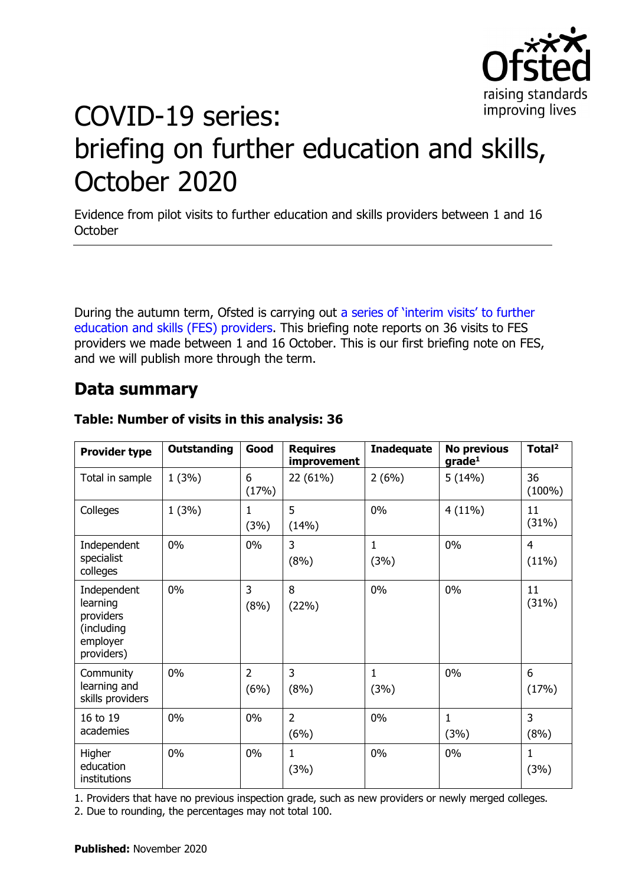

# COVID-19 series: briefing on further education and skills, October 2020

Evidence from pilot visits to further education and skills providers between 1 and 16 **October** 

During the autumn term, Ofsted is carrying out [a series of 'interim visits' to further](https://www.gov.uk/guidance/interim-phase-further-education-and-skills-providers)  [education and skills \(FES\) providers.](https://www.gov.uk/guidance/interim-phase-further-education-and-skills-providers) This briefing note reports on 36 visits to FES providers we made between 1 and 16 October. This is our first briefing note on FES, and we will publish more through the term.

# **Data summary**

| <b>Provider type</b>                                                         | <b>Outstanding</b> | Good                   | <b>Requires</b><br>improvement | <b>Inadequate</b> | <b>No previous</b><br>grade <sup>1</sup> | Total <sup>2</sup>      |
|------------------------------------------------------------------------------|--------------------|------------------------|--------------------------------|-------------------|------------------------------------------|-------------------------|
| Total in sample                                                              | 1(3%)              | 6<br>(17%)             | 22 (61%)                       | 2(6%)             | 5(14%)                                   | 36<br>$(100\%)$         |
| Colleges                                                                     | 1(3%)              | 1<br>(3%)              | 5<br>(14%)                     | 0%                | 4(11%)                                   | 11<br>(31%)             |
| Independent<br>specialist<br>colleges                                        | $0\%$              | 0%                     | 3<br>(8%)                      | 1<br>(3%)         | 0%                                       | $\overline{4}$<br>(11%) |
| Independent<br>learning<br>providers<br>(including<br>employer<br>providers) | $0\%$              | 3<br>(8%)              | 8<br>(22%)                     | 0%                | 0%                                       | 11<br>(31%)             |
| Community<br>learning and<br>skills providers                                | $0\%$              | $\overline{2}$<br>(6%) | 3<br>(8%)                      | 1<br>(3%)         | 0%                                       | 6<br>(17%)              |
| 16 to 19<br>academies                                                        | $0\%$              | 0%                     | $\overline{2}$<br>(6%)         | 0%                | $\mathbf{1}$<br>(3%)                     | 3<br>(8%)               |
| Higher<br>education<br>institutions                                          | 0%                 | $0\%$                  | $\mathbf{1}$<br>(3%)           | 0%                | 0%                                       | $\mathbf{1}$<br>(3%)    |

#### **Table: Number of visits in this analysis: 36**

1. Providers that have no previous inspection grade, such as new providers or newly merged colleges.

2. Due to rounding, the percentages may not total 100.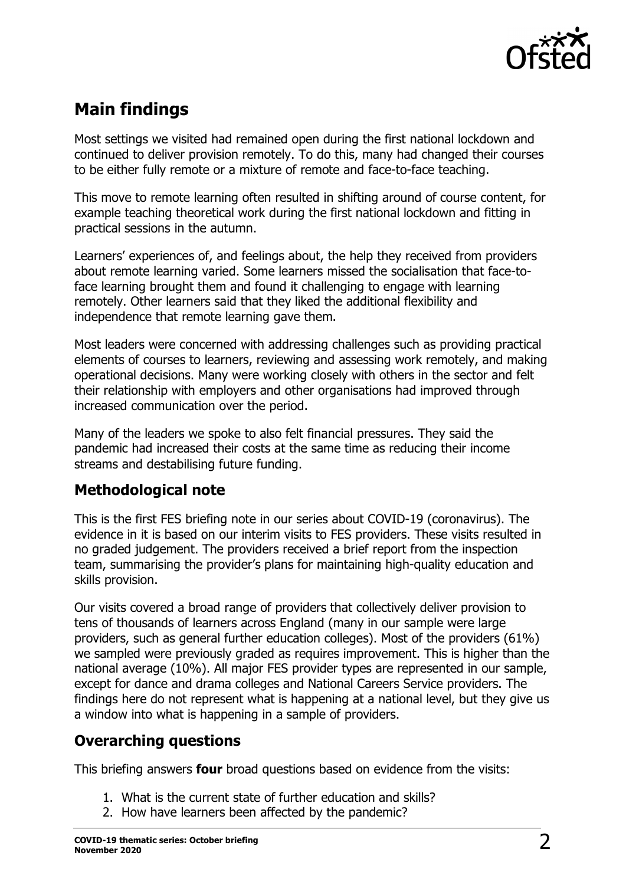

# **Main findings**

Most settings we visited had remained open during the first national lockdown and continued to deliver provision remotely. To do this, many had changed their courses to be either fully remote or a mixture of remote and face-to-face teaching.

This move to remote learning often resulted in shifting around of course content, for example teaching theoretical work during the first national lockdown and fitting in practical sessions in the autumn.

Learners' experiences of, and feelings about, the help they received from providers about remote learning varied. Some learners missed the socialisation that face-toface learning brought them and found it challenging to engage with learning remotely. Other learners said that they liked the additional flexibility and independence that remote learning gave them.

Most leaders were concerned with addressing challenges such as providing practical elements of courses to learners, reviewing and assessing work remotely, and making operational decisions. Many were working closely with others in the sector and felt their relationship with employers and other organisations had improved through increased communication over the period.

Many of the leaders we spoke to also felt financial pressures. They said the pandemic had increased their costs at the same time as reducing their income streams and destabilising future funding.

# **Methodological note**

This is the first FES briefing note in our series about COVID-19 (coronavirus). The evidence in it is based on our interim visits to FES providers. These visits resulted in no graded judgement. The providers received a brief report from the inspection team, summarising the provider's plans for maintaining high-quality education and skills provision.

Our visits covered a broad range of providers that collectively deliver provision to tens of thousands of learners across England (many in our sample were large providers, such as general further education colleges). Most of the providers (61%) we sampled were previously graded as requires improvement. This is higher than the national average (10%). All major FES provider types are represented in our sample, except for dance and drama colleges and National Careers Service providers. The findings here do not represent what is happening at a national level, but they give us a window into what is happening in a sample of providers.

# **Overarching questions**

This briefing answers **four** broad questions based on evidence from the visits:

- 1. What is the current state of further education and skills?
- 2. How have learners been affected by the pandemic?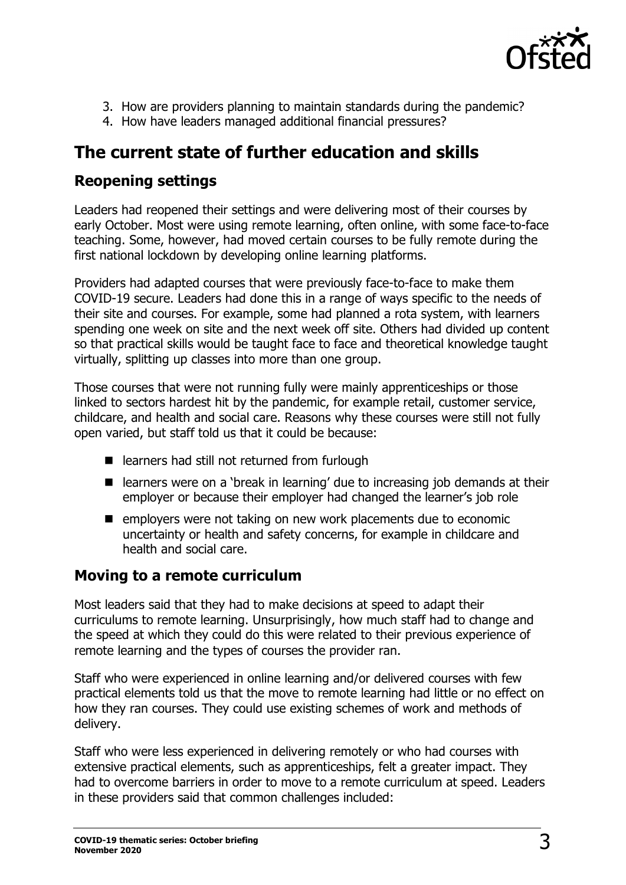

- 3. How are providers planning to maintain standards during the pandemic?
- 4. How have leaders managed additional financial pressures?

# **The current state of further education and skills**

### **Reopening settings**

Leaders had reopened their settings and were delivering most of their courses by early October. Most were using remote learning, often online, with some face-to-face teaching. Some, however, had moved certain courses to be fully remote during the first national lockdown by developing online learning platforms.

Providers had adapted courses that were previously face-to-face to make them COVID-19 secure. Leaders had done this in a range of ways specific to the needs of their site and courses. For example, some had planned a rota system, with learners spending one week on site and the next week off site. Others had divided up content so that practical skills would be taught face to face and theoretical knowledge taught virtually, splitting up classes into more than one group.

Those courses that were not running fully were mainly apprenticeships or those linked to sectors hardest hit by the pandemic, for example retail, customer service, childcare, and health and social care. Reasons why these courses were still not fully open varied, but staff told us that it could be because:

- learners had still not returned from furlough
- learners were on a 'break in learning' due to increasing job demands at their employer or because their employer had changed the learner's job role
- **E** employers were not taking on new work placements due to economic uncertainty or health and safety concerns, for example in childcare and health and social care.

#### **Moving to a remote curriculum**

Most leaders said that they had to make decisions at speed to adapt their curriculums to remote learning. Unsurprisingly, how much staff had to change and the speed at which they could do this were related to their previous experience of remote learning and the types of courses the provider ran.

Staff who were experienced in online learning and/or delivered courses with few practical elements told us that the move to remote learning had little or no effect on how they ran courses. They could use existing schemes of work and methods of delivery.

Staff who were less experienced in delivering remotely or who had courses with extensive practical elements, such as apprenticeships, felt a greater impact. They had to overcome barriers in order to move to a remote curriculum at speed. Leaders in these providers said that common challenges included: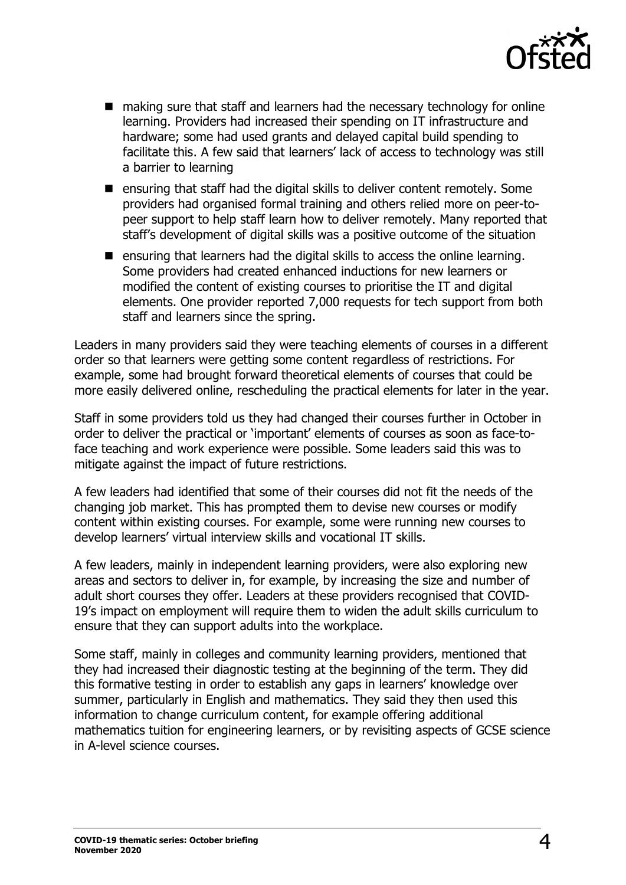

- making sure that staff and learners had the necessary technology for online learning. Providers had increased their spending on IT infrastructure and hardware; some had used grants and delayed capital build spending to facilitate this. A few said that learners' lack of access to technology was still a barrier to learning
- **E** ensuring that staff had the digital skills to deliver content remotely. Some providers had organised formal training and others relied more on peer-topeer support to help staff learn how to deliver remotely. Many reported that staff's development of digital skills was a positive outcome of the situation
- **E** ensuring that learners had the digital skills to access the online learning. Some providers had created enhanced inductions for new learners or modified the content of existing courses to prioritise the IT and digital elements. One provider reported 7,000 requests for tech support from both staff and learners since the spring.

Leaders in many providers said they were teaching elements of courses in a different order so that learners were getting some content regardless of restrictions. For example, some had brought forward theoretical elements of courses that could be more easily delivered online, rescheduling the practical elements for later in the year.

Staff in some providers told us they had changed their courses further in October in order to deliver the practical or 'important' elements of courses as soon as face-toface teaching and work experience were possible. Some leaders said this was to mitigate against the impact of future restrictions.

A few leaders had identified that some of their courses did not fit the needs of the changing job market. This has prompted them to devise new courses or modify content within existing courses. For example, some were running new courses to develop learners' virtual interview skills and vocational IT skills.

A few leaders, mainly in independent learning providers, were also exploring new areas and sectors to deliver in, for example, by increasing the size and number of adult short courses they offer. Leaders at these providers recognised that COVID-19's impact on employment will require them to widen the adult skills curriculum to ensure that they can support adults into the workplace.

Some staff, mainly in colleges and community learning providers, mentioned that they had increased their diagnostic testing at the beginning of the term. They did this formative testing in order to establish any gaps in learners' knowledge over summer, particularly in English and mathematics. They said they then used this information to change curriculum content, for example offering additional mathematics tuition for engineering learners, or by revisiting aspects of GCSE science in A-level science courses.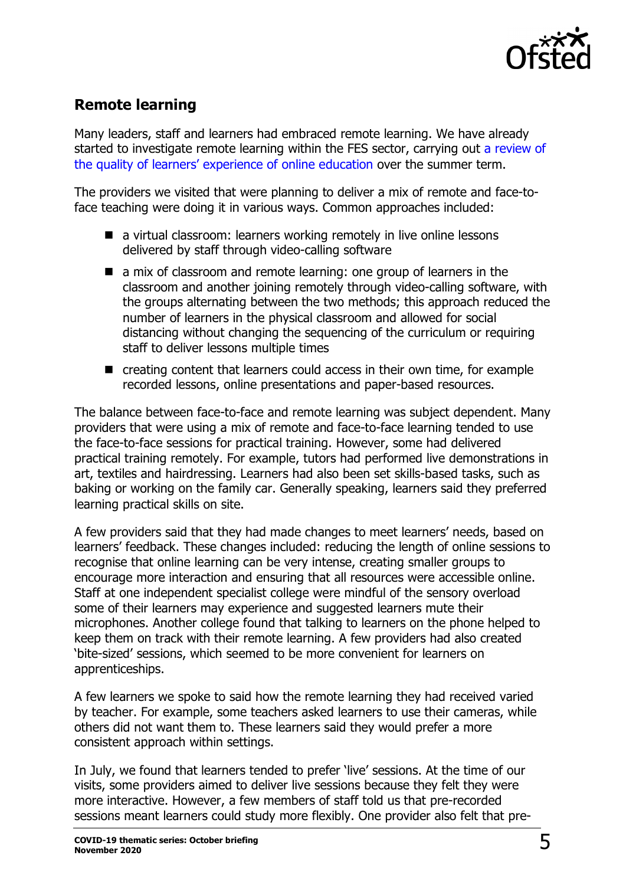

# **Remote learning**

Many leaders, staff and learners had embraced remote learning. We have already started to investigate remote learning within the FES sector, carrying out [a review of](https://educationinspection.blog.gov.uk/2020/07/15/online-education-in-further-education-and-skills-learning-about-what-works/) [the quality of learners' experience of online education](https://educationinspection.blog.gov.uk/2020/07/15/online-education-in-further-education-and-skills-learning-about-what-works/) over the summer term.

The providers we visited that were planning to deliver a mix of remote and face-toface teaching were doing it in various ways. Common approaches included:

- a virtual classroom: learners working remotely in live online lessons delivered by staff through video-calling software
- **E** a mix of classroom and remote learning: one group of learners in the classroom and another joining remotely through video-calling software, with the groups alternating between the two methods; this approach reduced the number of learners in the physical classroom and allowed for social distancing without changing the sequencing of the curriculum or requiring staff to deliver lessons multiple times
- creating content that learners could access in their own time, for example recorded lessons, online presentations and paper-based resources.

The balance between face-to-face and remote learning was subject dependent. Many providers that were using a mix of remote and face-to-face learning tended to use the face-to-face sessions for practical training. However, some had delivered practical training remotely. For example, tutors had performed live demonstrations in art, textiles and hairdressing. Learners had also been set skills-based tasks, such as baking or working on the family car. Generally speaking, learners said they preferred learning practical skills on site.

A few providers said that they had made changes to meet learners' needs, based on learners' feedback. These changes included: reducing the length of online sessions to recognise that online learning can be very intense, creating smaller groups to encourage more interaction and ensuring that all resources were accessible online. Staff at one independent specialist college were mindful of the sensory overload some of their learners may experience and suggested learners mute their microphones. Another college found that talking to learners on the phone helped to keep them on track with their remote learning. A few providers had also created 'bite-sized' sessions, which seemed to be more convenient for learners on apprenticeships.

A few learners we spoke to said how the remote learning they had received varied by teacher. For example, some teachers asked learners to use their cameras, while others did not want them to. These learners said they would prefer a more consistent approach within settings.

In July, we found that learners tended to prefer 'live' sessions. At the time of our visits, some providers aimed to deliver live sessions because they felt they were more interactive. However, a few members of staff told us that pre-recorded sessions meant learners could study more flexibly. One provider also felt that pre-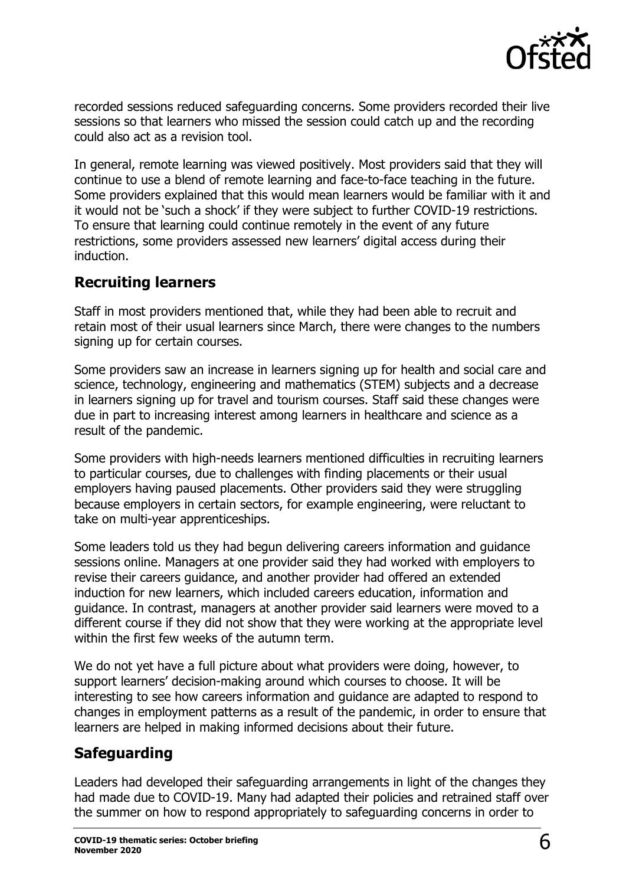

recorded sessions reduced safeguarding concerns. Some providers recorded their live sessions so that learners who missed the session could catch up and the recording could also act as a revision tool.

In general, remote learning was viewed positively. Most providers said that they will continue to use a blend of remote learning and face-to-face teaching in the future. Some providers explained that this would mean learners would be familiar with it and it would not be 'such a shock' if they were subject to further COVID-19 restrictions. To ensure that learning could continue remotely in the event of any future restrictions, some providers assessed new learners' digital access during their induction.

## **Recruiting learners**

Staff in most providers mentioned that, while they had been able to recruit and retain most of their usual learners since March, there were changes to the numbers signing up for certain courses.

Some providers saw an increase in learners signing up for health and social care and science, technology, engineering and mathematics (STEM) subjects and a decrease in learners signing up for travel and tourism courses. Staff said these changes were due in part to increasing interest among learners in healthcare and science as a result of the pandemic.

Some providers with high-needs learners mentioned difficulties in recruiting learners to particular courses, due to challenges with finding placements or their usual employers having paused placements. Other providers said they were struggling because employers in certain sectors, for example engineering, were reluctant to take on multi-year apprenticeships.

Some leaders told us they had begun delivering careers information and guidance sessions online. Managers at one provider said they had worked with employers to revise their careers guidance, and another provider had offered an extended induction for new learners, which included careers education, information and guidance. In contrast, managers at another provider said learners were moved to a different course if they did not show that they were working at the appropriate level within the first few weeks of the autumn term.

We do not yet have a full picture about what providers were doing, however, to support learners' decision-making around which courses to choose. It will be interesting to see how careers information and guidance are adapted to respond to changes in employment patterns as a result of the pandemic, in order to ensure that learners are helped in making informed decisions about their future.

# **Safeguarding**

Leaders had developed their safeguarding arrangements in light of the changes they had made due to COVID-19. Many had adapted their policies and retrained staff over the summer on how to respond appropriately to safeguarding concerns in order to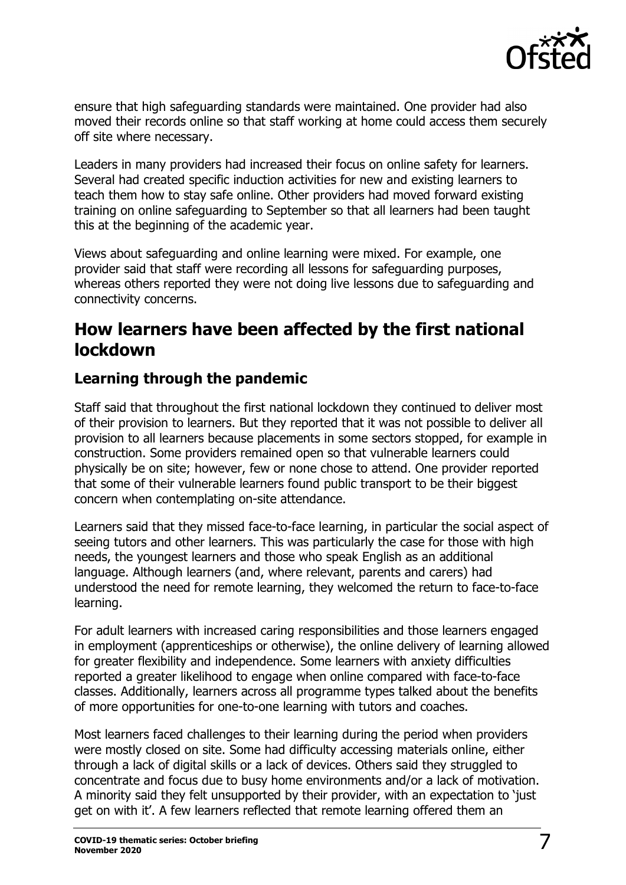

ensure that high safeguarding standards were maintained. One provider had also moved their records online so that staff working at home could access them securely off site where necessary.

Leaders in many providers had increased their focus on online safety for learners. Several had created specific induction activities for new and existing learners to teach them how to stay safe online. Other providers had moved forward existing training on online safeguarding to September so that all learners had been taught this at the beginning of the academic year.

Views about safeguarding and online learning were mixed. For example, one provider said that staff were recording all lessons for safeguarding purposes, whereas others reported they were not doing live lessons due to safeguarding and connectivity concerns.

# **How learners have been affected by the first national lockdown**

# **Learning through the pandemic**

Staff said that throughout the first national lockdown they continued to deliver most of their provision to learners. But they reported that it was not possible to deliver all provision to all learners because placements in some sectors stopped, for example in construction. Some providers remained open so that vulnerable learners could physically be on site; however, few or none chose to attend. One provider reported that some of their vulnerable learners found public transport to be their biggest concern when contemplating on-site attendance.

Learners said that they missed face-to-face learning, in particular the social aspect of seeing tutors and other learners. This was particularly the case for those with high needs, the youngest learners and those who speak English as an additional language. Although learners (and, where relevant, parents and carers) had understood the need for remote learning, they welcomed the return to face-to-face learning.

For adult learners with increased caring responsibilities and those learners engaged in employment (apprenticeships or otherwise), the online delivery of learning allowed for greater flexibility and independence. Some learners with anxiety difficulties reported a greater likelihood to engage when online compared with face-to-face classes. Additionally, learners across all programme types talked about the benefits of more opportunities for one-to-one learning with tutors and coaches.

Most learners faced challenges to their learning during the period when providers were mostly closed on site. Some had difficulty accessing materials online, either through a lack of digital skills or a lack of devices. Others said they struggled to concentrate and focus due to busy home environments and/or a lack of motivation. A minority said they felt unsupported by their provider, with an expectation to 'just get on with it'. A few learners reflected that remote learning offered them an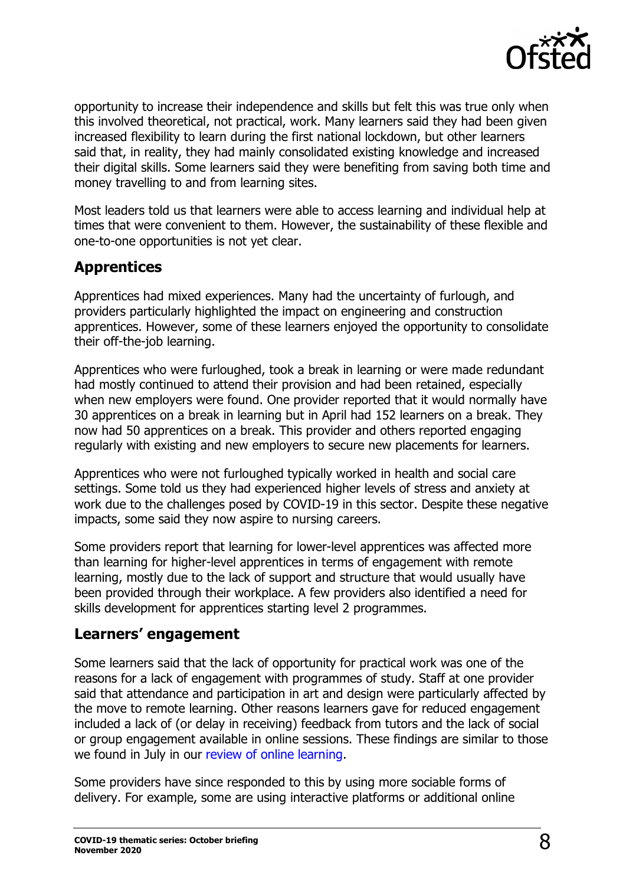

opportunity to increase their independence and skills but felt this was true only when this involved theoretical, not practical, work. Many learners said they had been given increased flexibility to learn during the first national lockdown, but other learners said that, in reality, they had mainly consolidated existing knowledge and increased their digital skills. Some learners said they were benefiting from saving both time and money travelling to and from learning sites.

Most leaders told us that learners were able to access learning and individual help at times that were convenient to them. However, the sustainability of these flexible and one-to-one opportunities is not yet clear.

#### **Apprentices**

Apprentices had mixed experiences. Many had the uncertainty of furlough, and providers particularly highlighted the impact on engineering and construction apprentices. However, some of these learners enjoyed the opportunity to consolidate their off-the-job learning.

Apprentices who were furloughed, took a break in learning or were made redundant had mostly continued to attend their provision and had been retained, especially when new employers were found. One provider reported that it would normally have 30 apprentices on a break in learning but in April had 152 learners on a break. They now had 50 apprentices on a break. This provider and others reported engaging regularly with existing and new employers to secure new placements for learners.

Apprentices who were not furloughed typically worked in health and social care settings. Some told us they had experienced higher levels of stress and anxiety at work due to the challenges posed by COVID-19 in this sector. Despite these negative impacts, some said they now aspire to nursing careers.

Some providers report that learning for lower-level apprentices was affected more than learning for higher-level apprentices in terms of engagement with remote learning, mostly due to the lack of support and structure that would usually have been provided through their workplace. A few providers also identified a need for skills development for apprentices starting level 2 programmes.

#### **Learners' engagement**

Some learners said that the lack of opportunity for practical work was one of the reasons for a lack of engagement with programmes of study. Staff at one provider said that attendance and participation in art and design were particularly affected by the move to remote learning. Other reasons learners gave for reduced engagement included a lack of (or delay in receiving) feedback from tutors and the lack of social or group engagement available in online sessions. These findings are similar to those we found in July in our [review of online learning.](https://educationinspection.blog.gov.uk/2020/07/15/online-education-in-further-education-and-skills-learning-about-what-works/)

Some providers have since responded to this by using more sociable forms of delivery. For example, some are using interactive platforms or additional online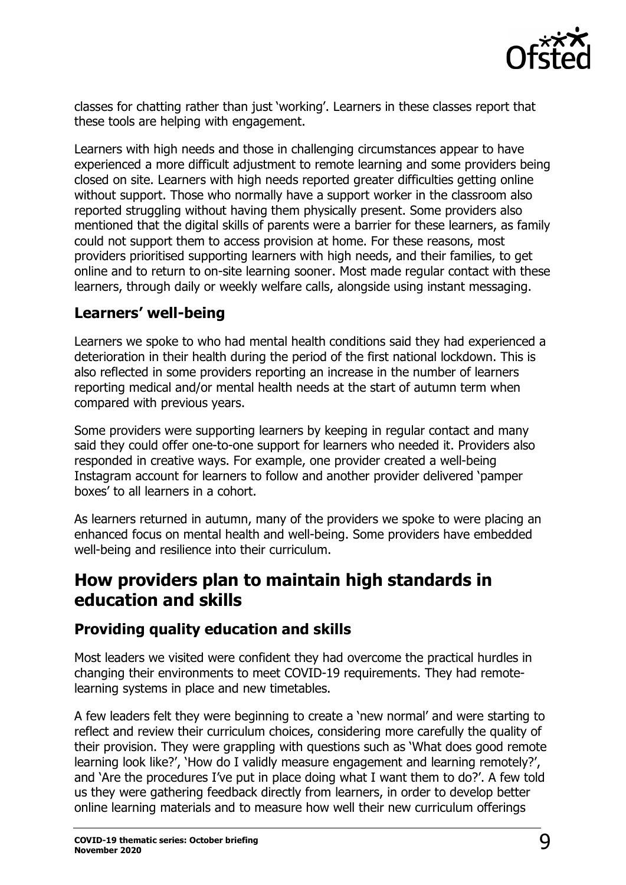

classes for chatting rather than just 'working'. Learners in these classes report that these tools are helping with engagement.

Learners with high needs and those in challenging circumstances appear to have experienced a more difficult adjustment to remote learning and some providers being closed on site. Learners with high needs reported greater difficulties getting online without support. Those who normally have a support worker in the classroom also reported struggling without having them physically present. Some providers also mentioned that the digital skills of parents were a barrier for these learners, as family could not support them to access provision at home. For these reasons, most providers prioritised supporting learners with high needs, and their families, to get online and to return to on-site learning sooner. Most made regular contact with these learners, through daily or weekly welfare calls, alongside using instant messaging.

#### **Learners' well-being**

Learners we spoke to who had mental health conditions said they had experienced a deterioration in their health during the period of the first national lockdown. This is also reflected in some providers reporting an increase in the number of learners reporting medical and/or mental health needs at the start of autumn term when compared with previous years.

Some providers were supporting learners by keeping in regular contact and many said they could offer one-to-one support for learners who needed it. Providers also responded in creative ways. For example, one provider created a well-being Instagram account for learners to follow and another provider delivered 'pamper boxes' to all learners in a cohort.

As learners returned in autumn, many of the providers we spoke to were placing an enhanced focus on mental health and well-being. Some providers have embedded well-being and resilience into their curriculum.

# **How providers plan to maintain high standards in education and skills**

#### **Providing quality education and skills**

Most leaders we visited were confident they had overcome the practical hurdles in changing their environments to meet COVID-19 requirements. They had remotelearning systems in place and new timetables.

A few leaders felt they were beginning to create a 'new normal' and were starting to reflect and review their curriculum choices, considering more carefully the quality of their provision. They were grappling with questions such as 'What does good remote learning look like?', 'How do I validly measure engagement and learning remotely?', and 'Are the procedures I've put in place doing what I want them to do?'. A few told us they were gathering feedback directly from learners, in order to develop better online learning materials and to measure how well their new curriculum offerings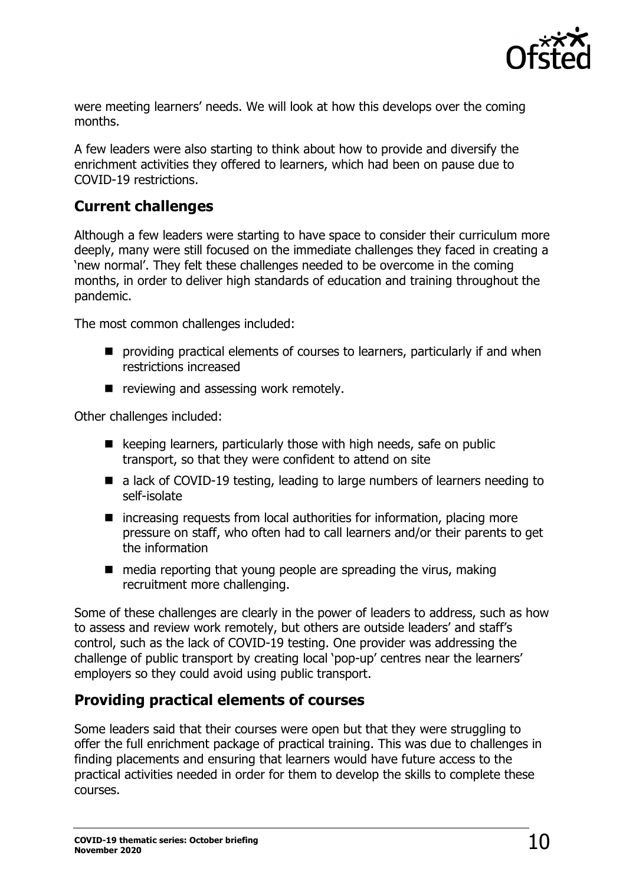

were meeting learners' needs. We will look at how this develops over the coming months.

A few leaders were also starting to think about how to provide and diversify the enrichment activities they offered to learners, which had been on pause due to COVID-19 restrictions.

### **Current challenges**

Although a few leaders were starting to have space to consider their curriculum more deeply, many were still focused on the immediate challenges they faced in creating a 'new normal'. They felt these challenges needed to be overcome in the coming months, in order to deliver high standards of education and training throughout the pandemic.

The most common challenges included:

- **P** providing practical elements of courses to learners, particularly if and when restrictions increased
- reviewing and assessing work remotely.

Other challenges included:

- $\blacksquare$  keeping learners, particularly those with high needs, safe on public transport, so that they were confident to attend on site
- a lack of COVID-19 testing, leading to large numbers of learners needing to self-isolate
- $\blacksquare$  increasing requests from local authorities for information, placing more pressure on staff, who often had to call learners and/or their parents to get the information
- $\blacksquare$  media reporting that young people are spreading the virus, making recruitment more challenging.

Some of these challenges are clearly in the power of leaders to address, such as how to assess and review work remotely, but others are outside leaders' and staff's control, such as the lack of COVID-19 testing. One provider was addressing the challenge of public transport by creating local 'pop-up' centres near the learners' employers so they could avoid using public transport.

## **Providing practical elements of courses**

Some leaders said that their courses were open but that they were struggling to offer the full enrichment package of practical training. This was due to challenges in finding placements and ensuring that learners would have future access to the practical activities needed in order for them to develop the skills to complete these courses.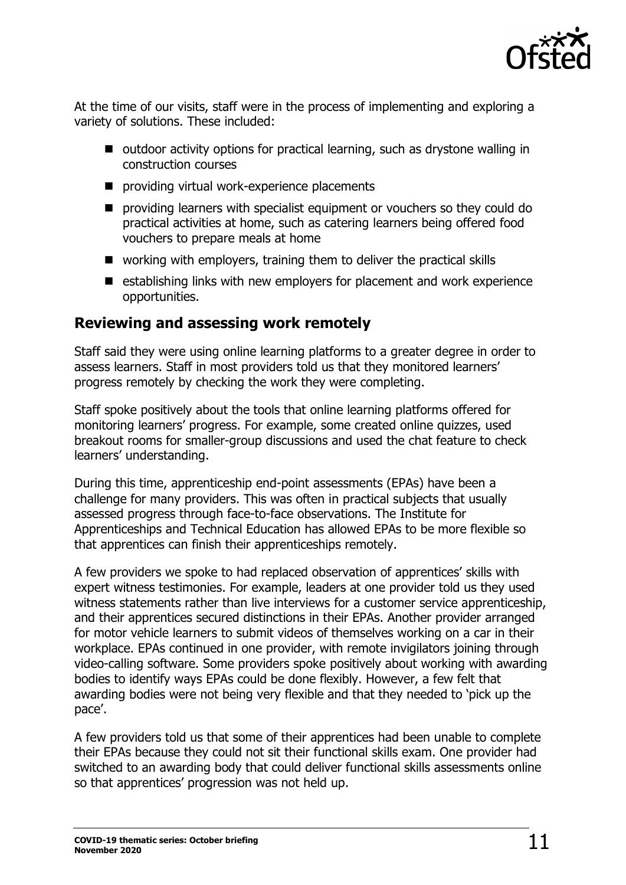

At the time of our visits, staff were in the process of implementing and exploring a variety of solutions. These included:

- outdoor activity options for practical learning, such as drystone walling in construction courses
- **P** providing virtual work-experience placements
- **P** providing learners with specialist equipment or vouchers so they could do practical activities at home, such as catering learners being offered food vouchers to prepare meals at home
- working with employers, training them to deliver the practical skills
- $\blacksquare$  establishing links with new employers for placement and work experience opportunities.

#### **Reviewing and assessing work remotely**

Staff said they were using online learning platforms to a greater degree in order to assess learners. Staff in most providers told us that they monitored learners' progress remotely by checking the work they were completing.

Staff spoke positively about the tools that online learning platforms offered for monitoring learners' progress. For example, some created online quizzes, used breakout rooms for smaller-group discussions and used the chat feature to check learners' understanding.

During this time, apprenticeship end-point assessments (EPAs) have been a challenge for many providers. This was often in practical subjects that usually assessed progress through face-to-face observations. The Institute for Apprenticeships and Technical Education has allowed EPAs to be more flexible so that apprentices can finish their apprenticeships remotely.

A few providers we spoke to had replaced observation of apprentices' skills with expert witness testimonies. For example, leaders at one provider told us they used witness statements rather than live interviews for a customer service apprenticeship, and their apprentices secured distinctions in their EPAs. Another provider arranged for motor vehicle learners to submit videos of themselves working on a car in their workplace. EPAs continued in one provider, with remote invigilators joining through video-calling software. Some providers spoke positively about working with awarding bodies to identify ways EPAs could be done flexibly. However, a few felt that awarding bodies were not being very flexible and that they needed to 'pick up the pace'.

A few providers told us that some of their apprentices had been unable to complete their EPAs because they could not sit their functional skills exam. One provider had switched to an awarding body that could deliver functional skills assessments online so that apprentices' progression was not held up.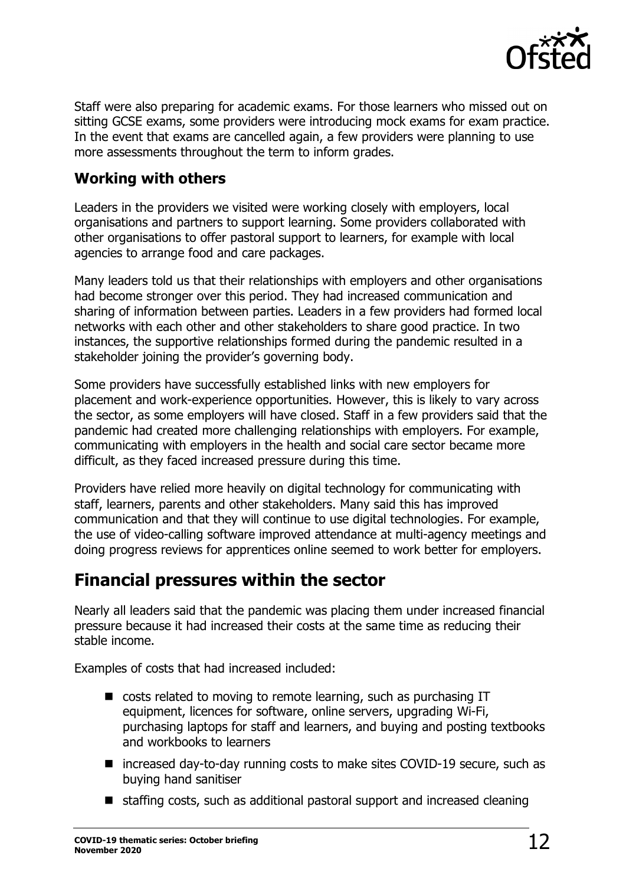

Staff were also preparing for academic exams. For those learners who missed out on sitting GCSE exams, some providers were introducing mock exams for exam practice. In the event that exams are cancelled again, a few providers were planning to use more assessments throughout the term to inform grades.

### **Working with others**

Leaders in the providers we visited were working closely with employers, local organisations and partners to support learning. Some providers collaborated with other organisations to offer pastoral support to learners, for example with local agencies to arrange food and care packages.

Many leaders told us that their relationships with employers and other organisations had become stronger over this period. They had increased communication and sharing of information between parties. Leaders in a few providers had formed local networks with each other and other stakeholders to share good practice. In two instances, the supportive relationships formed during the pandemic resulted in a stakeholder joining the provider's governing body.

Some providers have successfully established links with new employers for placement and work-experience opportunities. However, this is likely to vary across the sector, as some employers will have closed. Staff in a few providers said that the pandemic had created more challenging relationships with employers. For example, communicating with employers in the health and social care sector became more difficult, as they faced increased pressure during this time.

Providers have relied more heavily on digital technology for communicating with staff, learners, parents and other stakeholders. Many said this has improved communication and that they will continue to use digital technologies. For example, the use of video-calling software improved attendance at multi-agency meetings and doing progress reviews for apprentices online seemed to work better for employers.

# **Financial pressures within the sector**

Nearly all leaders said that the pandemic was placing them under increased financial pressure because it had increased their costs at the same time as reducing their stable income.

Examples of costs that had increased included:

- costs related to moving to remote learning, such as purchasing IT equipment, licences for software, online servers, upgrading Wi-Fi, purchasing laptops for staff and learners, and buying and posting textbooks and workbooks to learners
- increased day-to-day running costs to make sites COVID-19 secure, such as buying hand sanitiser
- $\blacksquare$  staffing costs, such as additional pastoral support and increased cleaning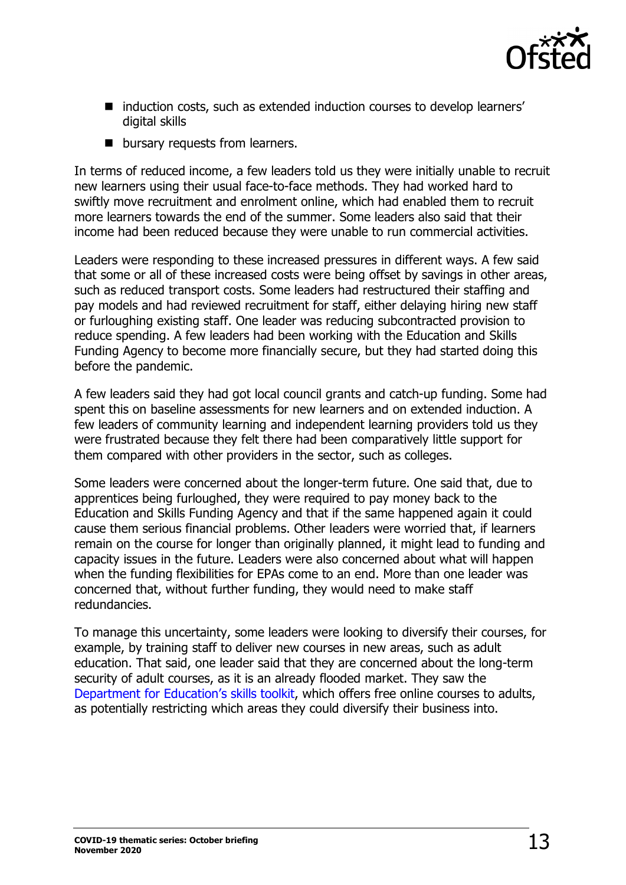

- induction costs, such as extended induction courses to develop learners' digital skills
- **D** bursary requests from learners.

In terms of reduced income, a few leaders told us they were initially unable to recruit new learners using their usual face-to-face methods. They had worked hard to swiftly move recruitment and enrolment online, which had enabled them to recruit more learners towards the end of the summer. Some leaders also said that their income had been reduced because they were unable to run commercial activities.

Leaders were responding to these increased pressures in different ways. A few said that some or all of these increased costs were being offset by savings in other areas, such as reduced transport costs. Some leaders had restructured their staffing and pay models and had reviewed recruitment for staff, either delaying hiring new staff or furloughing existing staff. One leader was reducing subcontracted provision to reduce spending. A few leaders had been working with the Education and Skills Funding Agency to become more financially secure, but they had started doing this before the pandemic.

A few leaders said they had got local council grants and catch-up funding. Some had spent this on baseline assessments for new learners and on extended induction. A few leaders of community learning and independent learning providers told us they were frustrated because they felt there had been comparatively little support for them compared with other providers in the sector, such as colleges.

Some leaders were concerned about the longer-term future. One said that, due to apprentices being furloughed, they were required to pay money back to the Education and Skills Funding Agency and that if the same happened again it could cause them serious financial problems. Other leaders were worried that, if learners remain on the course for longer than originally planned, it might lead to funding and capacity issues in the future. Leaders were also concerned about what will happen when the funding flexibilities for EPAs come to an end. More than one leader was concerned that, without further funding, they would need to make staff redundancies.

To manage this uncertainty, some leaders were looking to diversify their courses, for example, by training staff to deliver new courses in new areas, such as adult education. That said, one leader said that they are concerned about the long-term security of adult courses, as it is an already flooded market. They saw the [Department for Education's skills toolkit,](https://theskillstoolkit.campaign.gov.uk/) which offers free online courses to adults, as potentially restricting which areas they could diversify their business into.